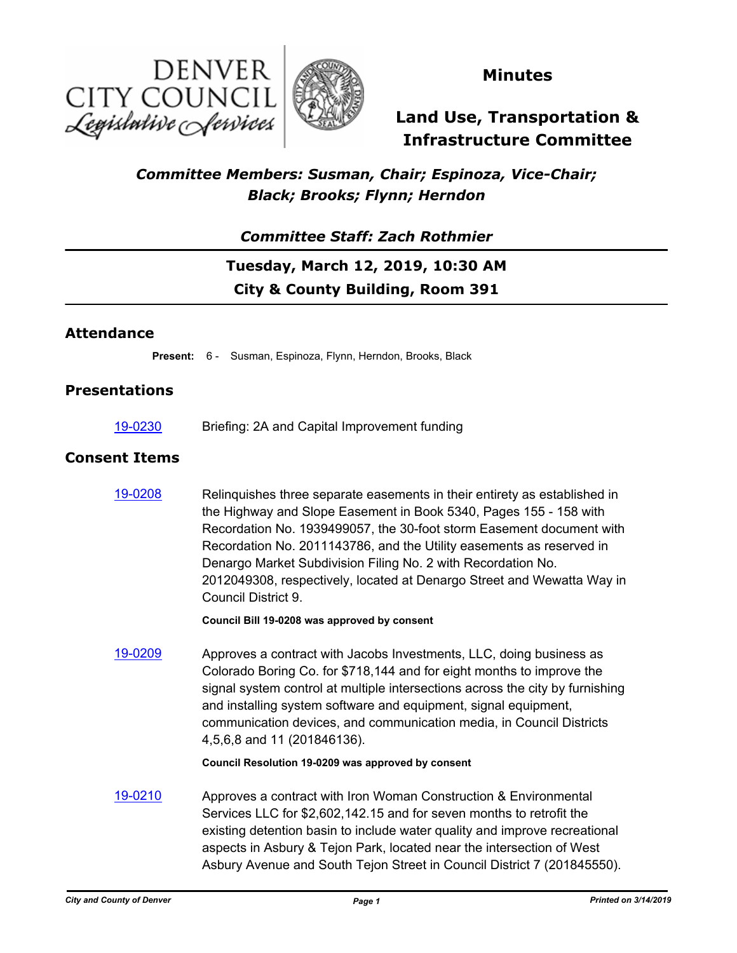



## **Minutes**

# **Land Use, Transportation & Infrastructure Committee**

## *Committee Members: Susman, Chair; Espinoza, Vice-Chair; Black; Brooks; Flynn; Herndon*

### *Committee Staff: Zach Rothmier*

# **Tuesday, March 12, 2019, 10:30 AM City & County Building, Room 391**

### **Attendance**

**Present:** 6 - Susman, Espinoza, Flynn, Herndon, Brooks, Black

### **Presentations**

[19-0230](http://denver.legistar.com/gateway.aspx?m=l&id=/matter.aspx?key=14771) Briefing: 2A and Capital Improvement funding

### **Consent Items**

[19-0208](http://denver.legistar.com/gateway.aspx?m=l&id=/matter.aspx?key=14749) Relinquishes three separate easements in their entirety as established in the Highway and Slope Easement in Book 5340, Pages 155 - 158 with Recordation No. 1939499057, the 30-foot storm Easement document with Recordation No. 2011143786, and the Utility easements as reserved in Denargo Market Subdivision Filing No. 2 with Recordation No. 2012049308, respectively, located at Denargo Street and Wewatta Way in Council District 9.

**Council Bill 19-0208 was approved by consent**

[19-0209](http://denver.legistar.com/gateway.aspx?m=l&id=/matter.aspx?key=14750) Approves a contract with Jacobs Investments, LLC, doing business as Colorado Boring Co. for \$718,144 and for eight months to improve the signal system control at multiple intersections across the city by furnishing and installing system software and equipment, signal equipment, communication devices, and communication media, in Council Districts 4,5,6,8 and 11 (201846136).

#### **Council Resolution 19-0209 was approved by consent**

[19-0210](http://denver.legistar.com/gateway.aspx?m=l&id=/matter.aspx?key=14751) Approves a contract with Iron Woman Construction & Environmental Services LLC for \$2,602,142.15 and for seven months to retrofit the existing detention basin to include water quality and improve recreational aspects in Asbury & Tejon Park, located near the intersection of West Asbury Avenue and South Tejon Street in Council District 7 (201845550).